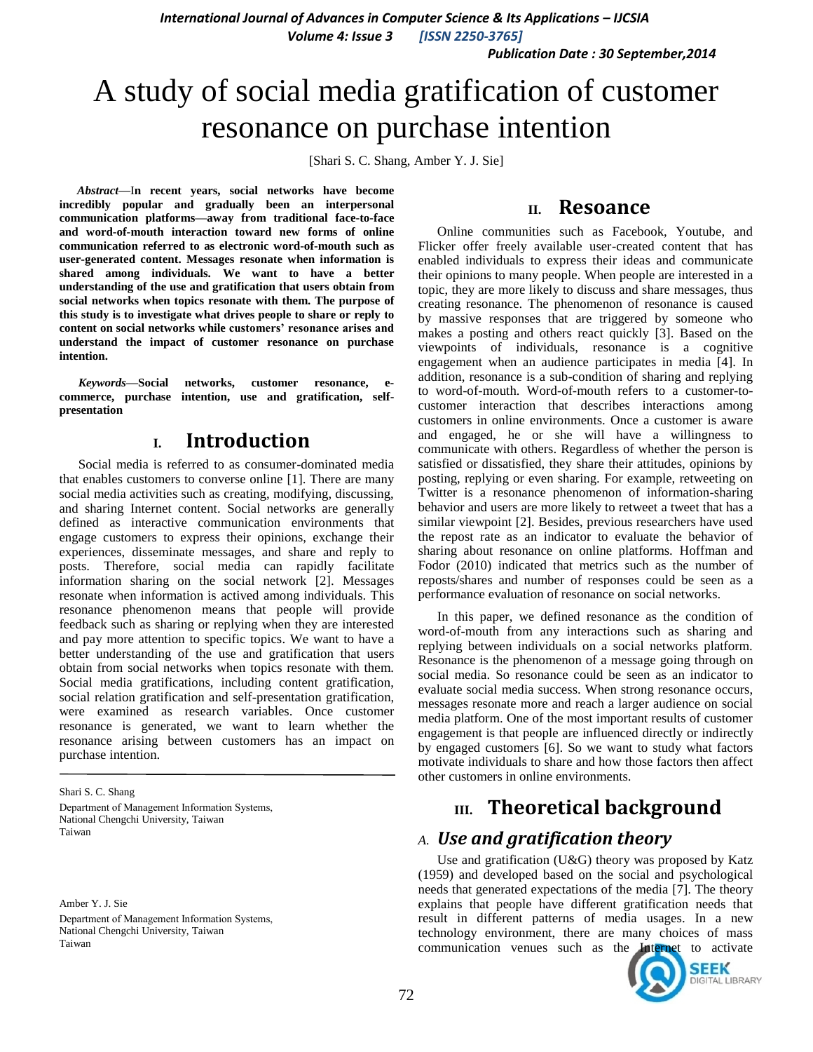*Publication Date : 30 September,2014*

# A study of social media gratification of customer resonance on purchase intention

[Shari S. C. Shang, Amber Y. J. Sie]

*Abstract***—**I**n recent years, social networks have become incredibly popular and gradually been an interpersonal communication platforms—away from traditional face-to-face and word-of-mouth interaction toward new forms of online communication referred to as electronic word-of-mouth such as user-generated content. Messages resonate when information is shared among individuals. We want to have a better understanding of the use and gratification that users obtain from social networks when topics resonate with them. The purpose of this study is to investigate what drives people to share or reply to content on social networks while customers' resonance arises and understand the impact of customer resonance on purchase intention.**

*Keywords—***Social networks, customer resonance, ecommerce, purchase intention, use and gratification, selfpresentation**

# **I. Introduction**

Social media is referred to as consumer-dominated media that enables customers to converse online [1]. There are many social media activities such as creating, modifying, discussing, and sharing Internet content. Social networks are generally defined as interactive communication environments that engage customers to express their opinions, exchange their experiences, disseminate messages, and share and reply to posts. Therefore, social media can rapidly facilitate information sharing on the social network [2]. Messages resonate when information is actived among individuals. This resonance phenomenon means that people will provide feedback such as sharing or replying when they are interested and pay more attention to specific topics. We want to have a better understanding of the use and gratification that users obtain from social networks when topics resonate with them. Social media gratifications, including content gratification, social relation gratification and self-presentation gratification, were examined as research variables. Once customer resonance is generated, we want to learn whether the resonance arising between customers has an impact on purchase intention.

Shari S. C. Shang Department of Management Information Systems, National Chengchi University, Taiwan Taiwan

Amber Y. J. Sie Department of Management Information Systems, National Chengchi University, Taiwan Taiwan

### **II. Resoance**

Online communities such as Facebook, Youtube, and Flicker offer freely available user-created content that has enabled individuals to express their ideas and communicate their opinions to many people. When people are interested in a topic, they are more likely to discuss and share messages, thus creating resonance. The phenomenon of resonance is caused by massive responses that are triggered by someone who makes a posting and others react quickly [3]. Based on the viewpoints of individuals, resonance is a cognitive engagement when an audience participates in media [4]. In addition, resonance is a sub-condition of sharing and replying to word-of-mouth. Word-of-mouth refers to a customer-tocustomer interaction that describes interactions among customers in online environments. Once a customer is aware and engaged, he or she will have a willingness to communicate with others. Regardless of whether the person is satisfied or dissatisfied, they share their attitudes, opinions by posting, replying or even sharing. For example, retweeting on Twitter is a resonance phenomenon of information-sharing behavior and users are more likely to retweet a tweet that has a similar viewpoint [2]. Besides, previous researchers have used the repost rate as an indicator to evaluate the behavior of sharing about resonance on online platforms. Hoffman and Fodor (2010) indicated that metrics such as the number of reposts/shares and number of responses could be seen as a performance evaluation of resonance on social networks.

In this paper, we defined resonance as the condition of word-of-mouth from any interactions such as sharing and replying between individuals on a social networks platform. Resonance is the phenomenon of a message going through on social media. So resonance could be seen as an indicator to evaluate social media success. When strong resonance occurs, messages resonate more and reach a larger audience on social media platform. One of the most important results of customer engagement is that people are influenced directly or indirectly by engaged customers [6]. So we want to study what factors motivate individuals to share and how those factors then affect other customers in online environments.

# **III. Theoretical background**

# *A. Use and gratification theory*

Use and gratification (U&G) theory was proposed by Katz (1959) and developed based on the social and psychological needs that generated expectations of the media [7]. The theory explains that people have different gratification needs that result in different patterns of media usages. In a new technology environment, there are many choices of mass communication venues such as the Internet to activate

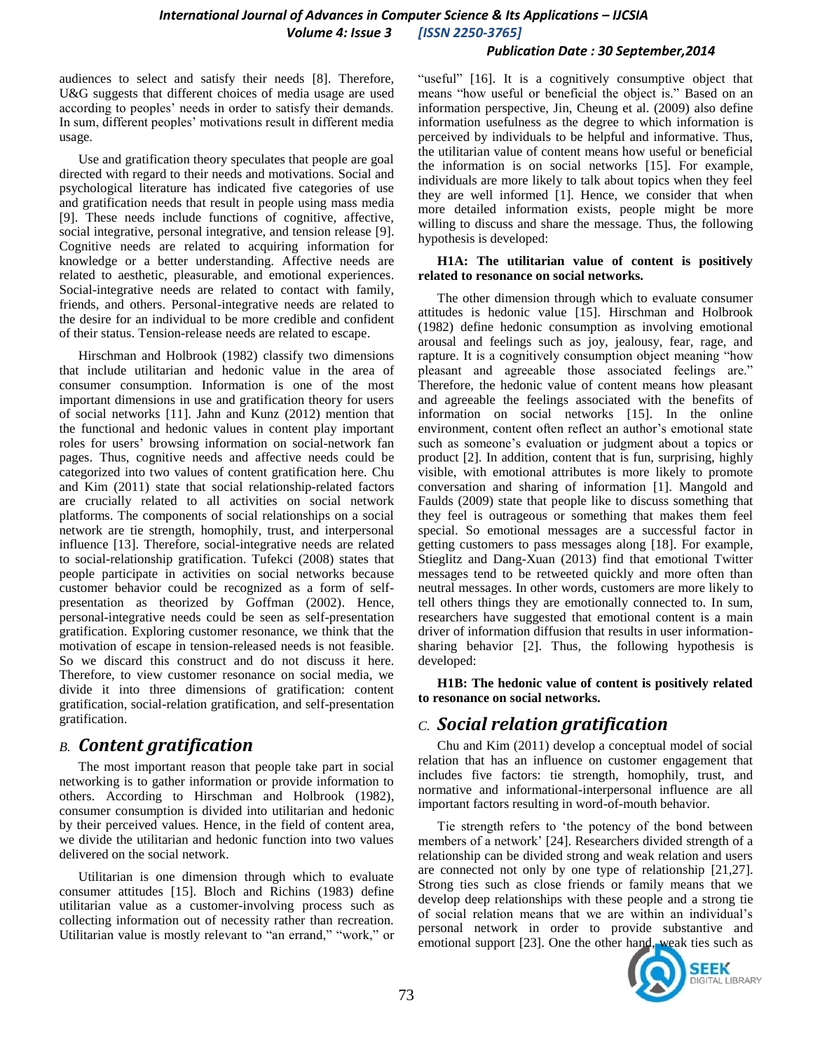#### *Publication Date : 30 September,2014*

audiences to select and satisfy their needs [8]. Therefore, U&G suggests that different choices of media usage are used according to peoples' needs in order to satisfy their demands. In sum, different peoples' motivations result in different media usage.

Use and gratification theory speculates that people are goal directed with regard to their needs and motivations. Social and psychological literature has indicated five categories of use and gratification needs that result in people using mass media [9]. These needs include functions of cognitive, affective, social integrative, personal integrative, and tension release [9]. Cognitive needs are related to acquiring information for knowledge or a better understanding. Affective needs are related to aesthetic, pleasurable, and emotional experiences. Social-integrative needs are related to contact with family, friends, and others. Personal-integrative needs are related to the desire for an individual to be more credible and confident of their status. Tension-release needs are related to escape.

Hirschman and Holbrook (1982) classify two dimensions that include utilitarian and hedonic value in the area of consumer consumption. Information is one of the most important dimensions in use and gratification theory for users of social networks [11]. Jahn and Kunz (2012) mention that the functional and hedonic values in content play important roles for users" browsing information on social-network fan pages. Thus, cognitive needs and affective needs could be categorized into two values of content gratification here. Chu and Kim (2011) state that social relationship-related factors are crucially related to all activities on social network platforms. The components of social relationships on a social network are tie strength, homophily, trust, and interpersonal influence [13]. Therefore, social-integrative needs are related to social-relationship gratification. Tufekci (2008) states that people participate in activities on social networks because customer behavior could be recognized as a form of selfpresentation as theorized by Goffman (2002). Hence, personal-integrative needs could be seen as self-presentation gratification. Exploring customer resonance, we think that the motivation of escape in tension-released needs is not feasible. So we discard this construct and do not discuss it here. Therefore, to view customer resonance on social media, we divide it into three dimensions of gratification: content gratification, social-relation gratification, and self-presentation gratification.

# *B. Content gratification*

The most important reason that people take part in social networking is to gather information or provide information to others. According to Hirschman and Holbrook (1982), consumer consumption is divided into utilitarian and hedonic by their perceived values. Hence, in the field of content area, we divide the utilitarian and hedonic function into two values delivered on the social network.

Utilitarian is one dimension through which to evaluate consumer attitudes [15]. Bloch and Richins (1983) define utilitarian value as a customer-involving process such as collecting information out of necessity rather than recreation. Utilitarian value is mostly relevant to "an errand," "work," or "useful" [16]. It is a cognitively consumptive object that means "how useful or beneficial the object is." Based on an information perspective, Jin, Cheung et al. (2009) also define information usefulness as the degree to which information is perceived by individuals to be helpful and informative. Thus, the utilitarian value of content means how useful or beneficial the information is on social networks [15]. For example, individuals are more likely to talk about topics when they feel they are well informed [1]. Hence, we consider that when more detailed information exists, people might be more willing to discuss and share the message. Thus, the following hypothesis is developed:

#### **H1A: The utilitarian value of content is positively related to resonance on social networks.**

The other dimension through which to evaluate consumer attitudes is hedonic value [15]. Hirschman and Holbrook (1982) define hedonic consumption as involving emotional arousal and feelings such as joy, jealousy, fear, rage, and rapture. It is a cognitively consumption object meaning "how pleasant and agreeable those associated feelings are." Therefore, the hedonic value of content means how pleasant and agreeable the feelings associated with the benefits of information on social networks [15]. In the online environment, content often reflect an author's emotional state such as someone's evaluation or judgment about a topics or product [2]. In addition, content that is fun, surprising, highly visible, with emotional attributes is more likely to promote conversation and sharing of information [1]. Mangold and Faulds (2009) state that people like to discuss something that they feel is outrageous or something that makes them feel special. So emotional messages are a successful factor in getting customers to pass messages along [18]. For example, Stieglitz and Dang-Xuan (2013) find that emotional Twitter messages tend to be retweeted quickly and more often than neutral messages. In other words, customers are more likely to tell others things they are emotionally connected to. In sum, researchers have suggested that emotional content is a main driver of information diffusion that results in user informationsharing behavior [2]. Thus, the following hypothesis is developed:

**H1B: The hedonic value of content is positively related to resonance on social networks.**

# *C. Social relation gratification*

Chu and Kim (2011) develop a conceptual model of social relation that has an influence on customer engagement that includes five factors: tie strength, homophily, trust, and normative and informational-interpersonal influence are all important factors resulting in word-of-mouth behavior.

Tie strength refers to "the potency of the bond between members of a network" [24]. Researchers divided strength of a relationship can be divided strong and weak relation and users are connected not only by one type of relationship [21,27]. Strong ties such as close friends or family means that we develop deep relationships with these people and a strong tie of social relation means that we are within an individual"s personal network in order to provide substantive and emotional support [23]. One the other hand, weak ties such as

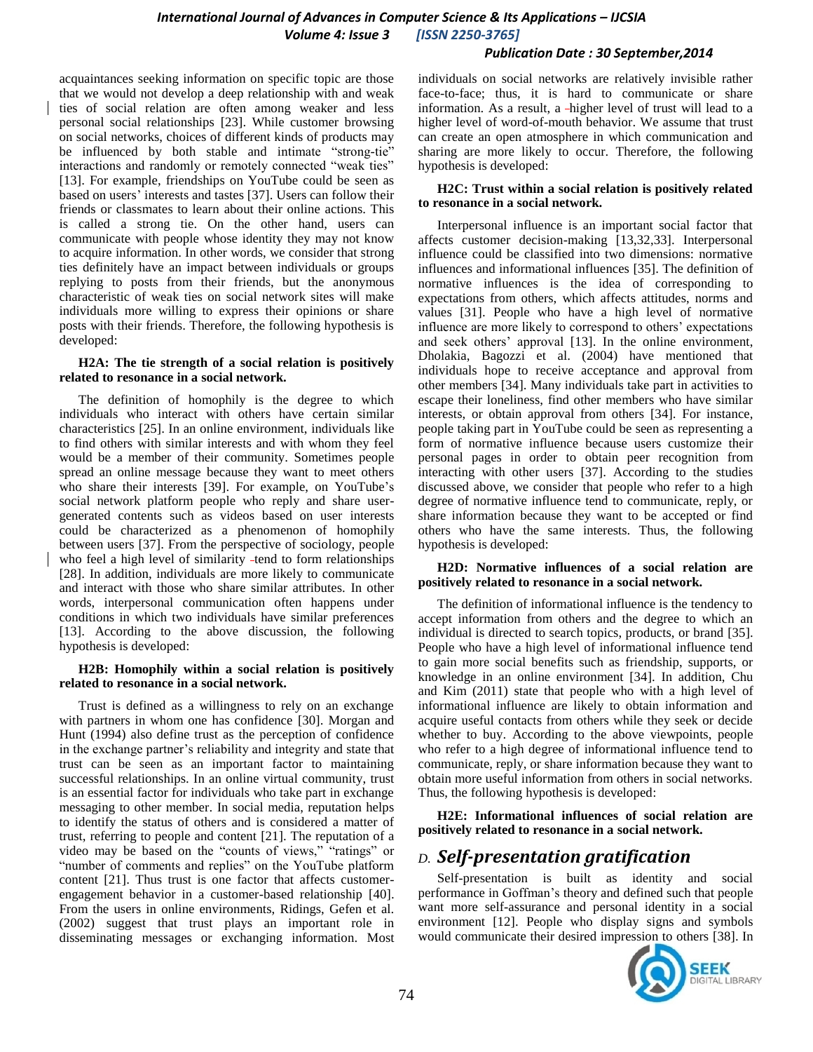#### *Publication Date : 30 September,2014*

acquaintances seeking information on specific topic are those that we would not develop a deep relationship with and weak ties of social relation are often among weaker and less personal social relationships [23]. While customer browsing on social networks, choices of different kinds of products may be influenced by both stable and intimate "strong-tie" interactions and randomly or remotely connected "weak ties" [13]. For example, friendships on YouTube could be seen as based on users" interests and tastes [37]. Users can follow their friends or classmates to learn about their online actions. This is called a strong tie. On the other hand, users can communicate with people whose identity they may not know to acquire information. In other words, we consider that strong ties definitely have an impact between individuals or groups replying to posts from their friends, but the anonymous characteristic of weak ties on social network sites will make individuals more willing to express their opinions or share posts with their friends. Therefore, the following hypothesis is developed:

#### **H2A: The tie strength of a social relation is positively related to resonance in a social network.**

The definition of homophily is the degree to which individuals who interact with others have certain similar characteristics [25]. In an online environment, individuals like to find others with similar interests and with whom they feel would be a member of their community. Sometimes people spread an online message because they want to meet others who share their interests [39]. For example, on YouTube's social network platform people who reply and share usergenerated contents such as videos based on user interests could be characterized as a phenomenon of homophily between users [37]. From the perspective of sociology, people who feel a high level of similarity -tend to form relationships [28]. In addition, individuals are more likely to communicate and interact with those who share similar attributes. In other words, interpersonal communication often happens under conditions in which two individuals have similar preferences [13]. According to the above discussion, the following hypothesis is developed:

#### **H2B: Homophily within a social relation is positively related to resonance in a social network.**

Trust is defined as a willingness to rely on an exchange with partners in whom one has confidence [30]. Morgan and Hunt (1994) also define trust as the perception of confidence in the exchange partner"s reliability and integrity and state that trust can be seen as an important factor to maintaining successful relationships. In an online virtual community, trust is an essential factor for individuals who take part in exchange messaging to other member. In social media, reputation helps to identify the status of others and is considered a matter of trust, referring to people and content [21]. The reputation of a video may be based on the "counts of views," "ratings" or "number of comments and replies" on the YouTube platform content [21]. Thus trust is one factor that affects customerengagement behavior in a customer-based relationship [40]. From the users in online environments, Ridings, Gefen et al. (2002) suggest that trust plays an important role in disseminating messages or exchanging information. Most

individuals on social networks are relatively invisible rather face-to-face; thus, it is hard to communicate or share information. As a result, a higher level of trust will lead to a higher level of word-of-mouth behavior. We assume that trust can create an open atmosphere in which communication and sharing are more likely to occur. Therefore, the following hypothesis is developed:

#### **H2C: Trust within a social relation is positively related to resonance in a social network.**

Interpersonal influence is an important social factor that affects customer decision-making [13,32,33]. Interpersonal influence could be classified into two dimensions: normative influences and informational influences [35]. The definition of normative influences is the idea of corresponding to expectations from others, which affects attitudes, norms and values [31]. People who have a high level of normative influence are more likely to correspond to others' expectations and seek others' approval [13]. In the online environment, Dholakia, Bagozzi et al. (2004) have mentioned that individuals hope to receive acceptance and approval from other members [34]. Many individuals take part in activities to escape their loneliness, find other members who have similar interests, or obtain approval from others [34]. For instance, people taking part in YouTube could be seen as representing a form of normative influence because users customize their personal pages in order to obtain peer recognition from interacting with other users [37]. According to the studies discussed above, we consider that people who refer to a high degree of normative influence tend to communicate, reply, or share information because they want to be accepted or find others who have the same interests. Thus, the following hypothesis is developed:

#### **H2D: Normative influences of a social relation are positively related to resonance in a social network.**

The definition of informational influence is the tendency to accept information from others and the degree to which an individual is directed to search topics, products, or brand [35]. People who have a high level of informational influence tend to gain more social benefits such as friendship, supports, or knowledge in an online environment [34]. In addition, Chu and Kim (2011) state that people who with a high level of informational influence are likely to obtain information and acquire useful contacts from others while they seek or decide whether to buy. According to the above viewpoints, people who refer to a high degree of informational influence tend to communicate, reply, or share information because they want to obtain more useful information from others in social networks. Thus, the following hypothesis is developed:

**H2E: Informational influences of social relation are positively related to resonance in a social network.**

# *D. Self-presentation gratification*

Self-presentation is built as identity and social performance in Goffman"s theory and defined such that people want more self-assurance and personal identity in a social environment [12]. People who display signs and symbols would communicate their desired impression to others [38]. In

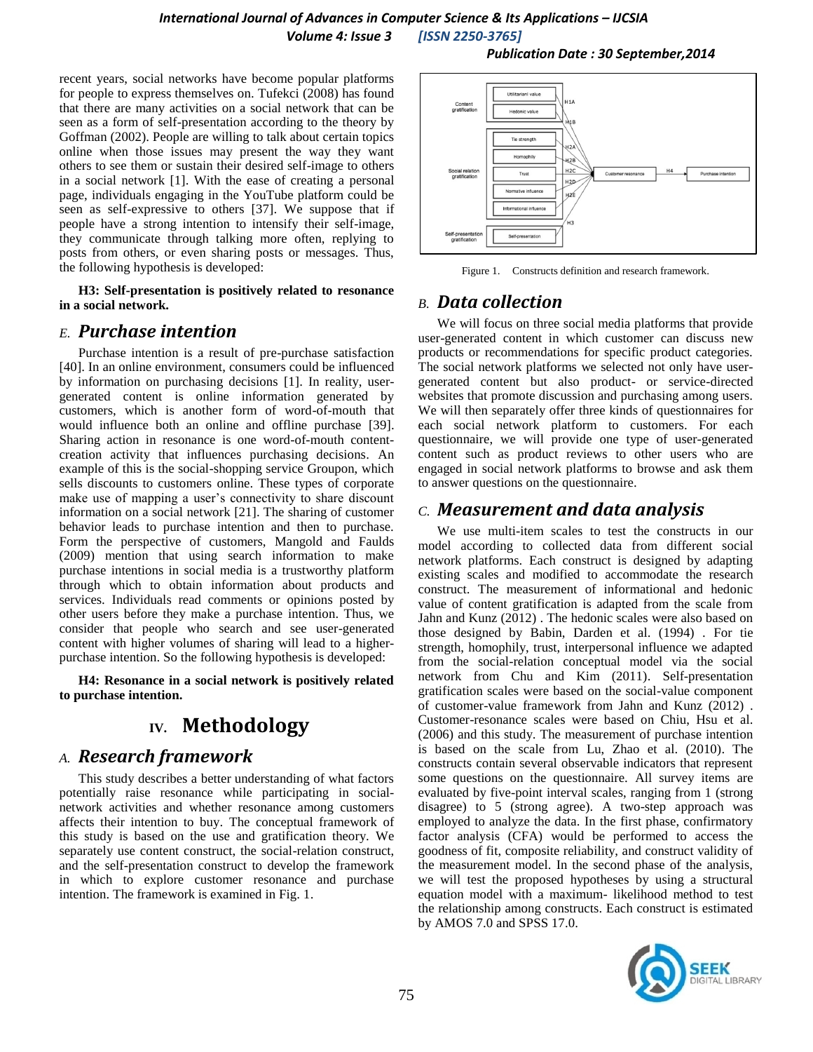recent years, social networks have become popular platforms for people to express themselves on. Tufekci (2008) has found that there are many activities on a social network that can be seen as a form of self-presentation according to the theory by Goffman (2002). People are willing to talk about certain topics online when those issues may present the way they want others to see them or sustain their desired self-image to others in a social network [1]. With the ease of creating a personal page, individuals engaging in the YouTube platform could be seen as self-expressive to others [37]. We suppose that if people have a strong intention to intensify their self-image, they communicate through talking more often, replying to posts from others, or even sharing posts or messages. Thus, the following hypothesis is developed:

**H3: Self-presentation is positively related to resonance in a social network.**

# *E. Purchase intention*

Purchase intention is a result of pre-purchase satisfaction [40]. In an online environment, consumers could be influenced by information on purchasing decisions [1]. In reality, usergenerated content is online information generated by customers, which is another form of word-of-mouth that would influence both an online and offline purchase [39]. Sharing action in resonance is one word-of-mouth contentcreation activity that influences purchasing decisions. An example of this is the social-shopping service Groupon, which sells discounts to customers online. These types of corporate make use of mapping a user's connectivity to share discount information on a social network [21]. The sharing of customer behavior leads to purchase intention and then to purchase. Form the perspective of customers, Mangold and Faulds (2009) mention that using search information to make purchase intentions in social media is a trustworthy platform through which to obtain information about products and services. Individuals read comments or opinions posted by other users before they make a purchase intention. Thus, we consider that people who search and see user-generated content with higher volumes of sharing will lead to a higherpurchase intention. So the following hypothesis is developed:

**H4: Resonance in a social network is positively related to purchase intention.**

# **IV. Methodology**

# *A. Research framework*

This study describes a better understanding of what factors potentially raise resonance while participating in socialnetwork activities and whether resonance among customers affects their intention to buy. The conceptual framework of this study is based on the use and gratification theory. We separately use content construct, the social-relation construct, and the self-presentation construct to develop the framework in which to explore customer resonance and purchase intention. The framework is examined in Fig. 1.

*Publication Date : 30 September,2014*



Figure 1. Constructs definition and research framework.

# *B. Data collection*

We will focus on three social media platforms that provide user-generated content in which customer can discuss new products or recommendations for specific product categories. The social network platforms we selected not only have usergenerated content but also product- or service-directed websites that promote discussion and purchasing among users. We will then separately offer three kinds of questionnaires for each social network platform to customers. For each questionnaire, we will provide one type of user-generated content such as product reviews to other users who are engaged in social network platforms to browse and ask them to answer questions on the questionnaire.

# *C. Measurement and data analysis*

We use multi-item scales to test the constructs in our model according to collected data from different social network platforms. Each construct is designed by adapting existing scales and modified to accommodate the research construct. The measurement of informational and hedonic value of content gratification is adapted from the scale from Jahn and Kunz (2012) . The hedonic scales were also based on those designed by Babin, Darden et al. (1994) . For tie strength, homophily, trust, interpersonal influence we adapted from the social-relation conceptual model via the social network from Chu and Kim (2011). Self-presentation gratification scales were based on the social-value component of customer-value framework from Jahn and Kunz (2012) . Customer-resonance scales were based on Chiu, Hsu et al. (2006) and this study. The measurement of purchase intention is based on the scale from Lu, Zhao et al. (2010). The constructs contain several observable indicators that represent some questions on the questionnaire. All survey items are evaluated by five-point interval scales, ranging from 1 (strong disagree) to 5 (strong agree). A two-step approach was employed to analyze the data. In the first phase, confirmatory factor analysis (CFA) would be performed to access the goodness of fit, composite reliability, and construct validity of the measurement model. In the second phase of the analysis, we will test the proposed hypotheses by using a structural equation model with a maximum- likelihood method to test the relationship among constructs. Each construct is estimated by AMOS 7.0 and SPSS 17.0.